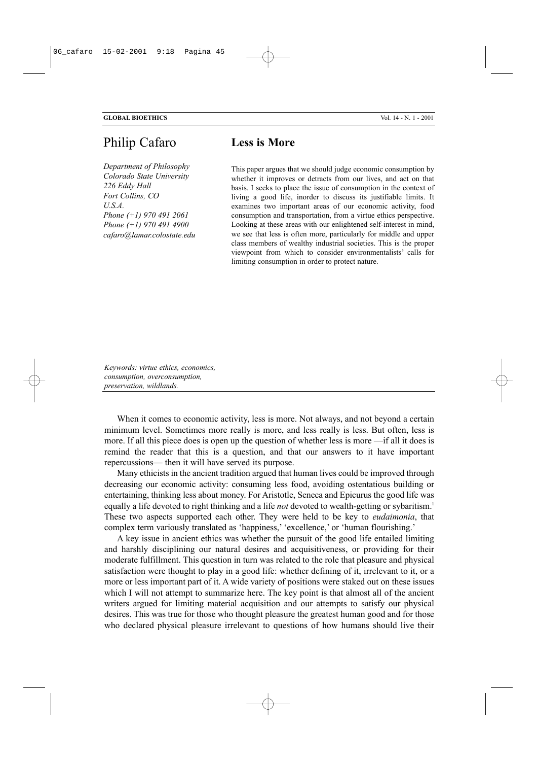## Philip Cafaro

*Department of Philosophy Colorado State University 226 Eddy Hall Fort Collins, CO U.S.A. Phone (+1) 970 491 2061 Phone (+1) 970 491 4900 cafaro@lamar.colostate.edu*

## **Less is More**

This paper argues that we should judge economic consumption by whether it improves or detracts from our lives, and act on that basis. I seeks to place the issue of consumption in the context of living a good life, inorder to discuss its justifiable limits. It examines two important areas of our economic activity, food consumption and transportation, from a virtue ethics perspective. Looking at these areas with our enlightened self-interest in mind, we see that less is often more, particularly for middle and upper class members of wealthy industrial societies. This is the proper viewpoint from which to consider environmentalists' calls for limiting consumption in order to protect nature.

*Keywords: virtue ethics, economics, consumption, overconsumption, preservation, wildlands.*

When it comes to economic activity, less is more. Not always, and not beyond a certain minimum level. Sometimes more really is more, and less really is less. But often, less is more. If all this piece does is open up the question of whether less is more —if all it does is remind the reader that this is a question, and that our answers to it have important repercussions— then it will have served its purpose.

Many ethicists in the ancient tradition argued that human lives could be improved through decreasing our economic activity: consuming less food, avoiding ostentatious building or entertaining, thinking less about money. For Aristotle, Seneca and Epicurus the good life was equally a life devoted to right thinking and a life *not* devoted to wealth-getting or sybaritism.<sup>1</sup> These two aspects supported each other. They were held to be key to *eudaimonia*, that complex term variously translated as 'happiness,' 'excellence,' or 'human flourishing.'

A key issue in ancient ethics was whether the pursuit of the good life entailed limiting and harshly disciplining our natural desires and acquisitiveness, or providing for their moderate fulfillment. This question in turn was related to the role that pleasure and physical satisfaction were thought to play in a good life: whether defining of it, irrelevant to it, or a more or less important part of it. A wide variety of positions were staked out on these issues which I will not attempt to summarize here. The key point is that almost all of the ancient writers argued for limiting material acquisition and our attempts to satisfy our physical desires. This was true for those who thought pleasure the greatest human good and for those who declared physical pleasure irrelevant to questions of how humans should live their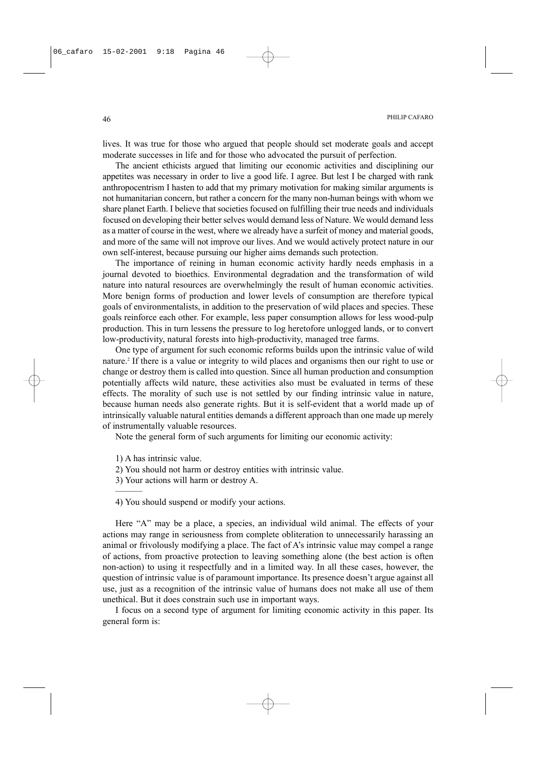lives. It was true for those who argued that people should set moderate goals and accept moderate successes in life and for those who advocated the pursuit of perfection.

The ancient ethicists argued that limiting our economic activities and disciplining our appetites was necessary in order to live a good life. I agree. But lest I be charged with rank anthropocentrism I hasten to add that my primary motivation for making similar arguments is not humanitarian concern, but rather a concern for the many non-human beings with whom we share planet Earth. I believe that societies focused on fulfilling their true needs and individuals focused on developing their better selves would demand less of Nature. We would demand less as a matter of course in the west, where we already have a surfeit of money and material goods, and more of the same will not improve our lives. And we would actively protect nature in our own self-interest, because pursuing our higher aims demands such protection.

The importance of reining in human economic activity hardly needs emphasis in a journal devoted to bioethics. Environmental degradation and the transformation of wild nature into natural resources are overwhelmingly the result of human economic activities. More benign forms of production and lower levels of consumption are therefore typical goals of environmentalists, in addition to the preservation of wild places and species. These goals reinforce each other. For example, less paper consumption allows for less wood-pulp production. This in turn lessens the pressure to log heretofore unlogged lands, or to convert low-productivity, natural forests into high-productivity, managed tree farms.

One type of argument for such economic reforms builds upon the intrinsic value of wild nature.2 If there is a value or integrity to wild places and organisms then our right to use or change or destroy them is called into question. Since all human production and consumption potentially affects wild nature, these activities also must be evaluated in terms of these effects. The morality of such use is not settled by our finding intrinsic value in nature, because human needs also generate rights. But it is self-evident that a world made up of intrinsically valuable natural entities demands a different approach than one made up merely of instrumentally valuable resources.

Note the general form of such arguments for limiting our economic activity:

1) A has intrinsic value.

———

- 2) You should not harm or destroy entities with intrinsic value.
- 3) Your actions will harm or destroy A.
- 4) You should suspend or modify your actions.

Here "A" may be a place, a species, an individual wild animal. The effects of your actions may range in seriousness from complete obliteration to unnecessarily harassing an animal or frivolously modifying a place. The fact of A's intrinsic value may compel a range of actions, from proactive protection to leaving something alone (the best action is often non-action) to using it respectfully and in a limited way. In all these cases, however, the question of intrinsic value is of paramount importance. Its presence doesn't argue against all use, just as a recognition of the intrinsic value of humans does not make all use of them unethical. But it does constrain such use in important ways.

I focus on a second type of argument for limiting economic activity in this paper. Its general form is: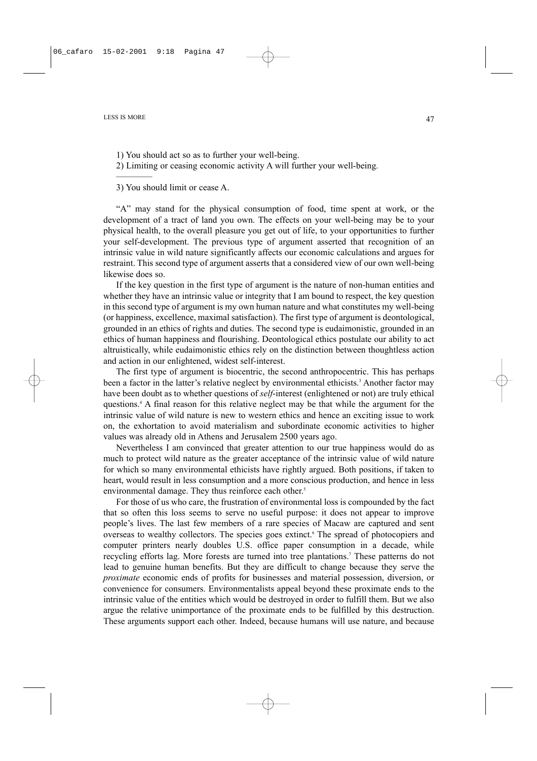————

- 1) You should act so as to further your well-being.
- 2) Limiting or ceasing economic activity A will further your well-being.

3) You should limit or cease A.

"A" may stand for the physical consumption of food, time spent at work, or the development of a tract of land you own. The effects on your well-being may be to your physical health, to the overall pleasure you get out of life, to your opportunities to further your self-development. The previous type of argument asserted that recognition of an intrinsic value in wild nature significantly affects our economic calculations and argues for restraint. This second type of argument asserts that a considered view of our own well-being likewise does so.

If the key question in the first type of argument is the nature of non-human entities and whether they have an intrinsic value or integrity that I am bound to respect, the key question in this second type of argument is my own human nature and what constitutes my well-being (or happiness, excellence, maximal satisfaction). The first type of argument is deontological, grounded in an ethics of rights and duties. The second type is eudaimonistic, grounded in an ethics of human happiness and flourishing. Deontological ethics postulate our ability to act altruistically, while eudaimonistic ethics rely on the distinction between thoughtless action and action in our enlightened, widest self-interest.

The first type of argument is biocentric, the second anthropocentric. This has perhaps been a factor in the latter's relative neglect by environmental ethicists.<sup>3</sup> Another factor may have been doubt as to whether questions of *self*-interest (enlightened or not) are truly ethical questions.4 A final reason for this relative neglect may be that while the argument for the intrinsic value of wild nature is new to western ethics and hence an exciting issue to work on, the exhortation to avoid materialism and subordinate economic activities to higher values was already old in Athens and Jerusalem 2500 years ago.

Nevertheless I am convinced that greater attention to our true happiness would do as much to protect wild nature as the greater acceptance of the intrinsic value of wild nature for which so many environmental ethicists have rightly argued. Both positions, if taken to heart, would result in less consumption and a more conscious production, and hence in less environmental damage. They thus reinforce each other.<sup>5</sup>

For those of us who care, the frustration of environmental loss is compounded by the fact that so often this loss seems to serve no useful purpose: it does not appear to improve people's lives. The last few members of a rare species of Macaw are captured and sent overseas to wealthy collectors. The species goes extinct.<sup>6</sup> The spread of photocopiers and computer printers nearly doubles U.S. office paper consumption in a decade, while recycling efforts lag. More forests are turned into tree plantations.7 These patterns do not lead to genuine human benefits. But they are difficult to change because they serve the *proximate* economic ends of profits for businesses and material possession, diversion, or convenience for consumers. Environmentalists appeal beyond these proximate ends to the intrinsic value of the entities which would be destroyed in order to fulfill them. But we also argue the relative unimportance of the proximate ends to be fulfilled by this destruction. These arguments support each other. Indeed, because humans will use nature, and because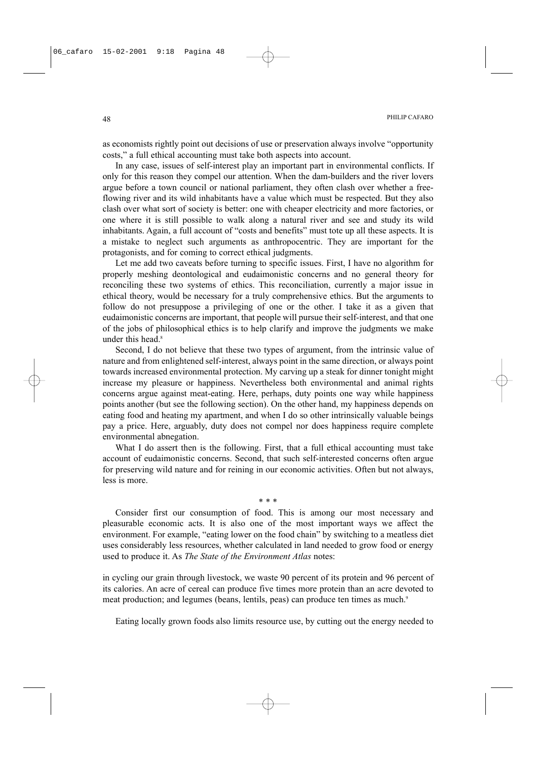as economists rightly point out decisions of use or preservation always involve "opportunity costs," a full ethical accounting must take both aspects into account.

In any case, issues of self-interest play an important part in environmental conflicts. If only for this reason they compel our attention. When the dam-builders and the river lovers argue before a town council or national parliament, they often clash over whether a freeflowing river and its wild inhabitants have a value which must be respected. But they also clash over what sort of society is better: one with cheaper electricity and more factories, or one where it is still possible to walk along a natural river and see and study its wild inhabitants. Again, a full account of "costs and benefits" must tote up all these aspects. It is a mistake to neglect such arguments as anthropocentric. They are important for the protagonists, and for coming to correct ethical judgments.

Let me add two caveats before turning to specific issues. First, I have no algorithm for properly meshing deontological and eudaimonistic concerns and no general theory for reconciling these two systems of ethics. This reconciliation, currently a major issue in ethical theory, would be necessary for a truly comprehensive ethics. But the arguments to follow do not presuppose a privileging of one or the other. I take it as a given that eudaimonistic concerns are important, that people will pursue their self-interest, and that one of the jobs of philosophical ethics is to help clarify and improve the judgments we make under this head.<sup>8</sup>

Second, I do not believe that these two types of argument, from the intrinsic value of nature and from enlightened self-interest, always point in the same direction, or always point towards increased environmental protection. My carving up a steak for dinner tonight might increase my pleasure or happiness. Nevertheless both environmental and animal rights concerns argue against meat-eating. Here, perhaps, duty points one way while happiness points another (but see the following section). On the other hand, my happiness depends on eating food and heating my apartment, and when I do so other intrinsically valuable beings pay a price. Here, arguably, duty does not compel nor does happiness require complete environmental abnegation.

What I do assert then is the following. First, that a full ethical accounting must take account of eudaimonistic concerns. Second, that such self-interested concerns often argue for preserving wild nature and for reining in our economic activities. Often but not always, less is more.

\* \* \*

Consider first our consumption of food. This is among our most necessary and pleasurable economic acts. It is also one of the most important ways we affect the environment. For example, "eating lower on the food chain" by switching to a meatless diet uses considerably less resources, whether calculated in land needed to grow food or energy used to produce it. As *The State of the Environment Atlas* notes:

in cycling our grain through livestock, we waste 90 percent of its protein and 96 percent of its calories. An acre of cereal can produce five times more protein than an acre devoted to meat production; and legumes (beans, lentils, peas) can produce ten times as much.<sup>9</sup>

Eating locally grown foods also limits resource use, by cutting out the energy needed to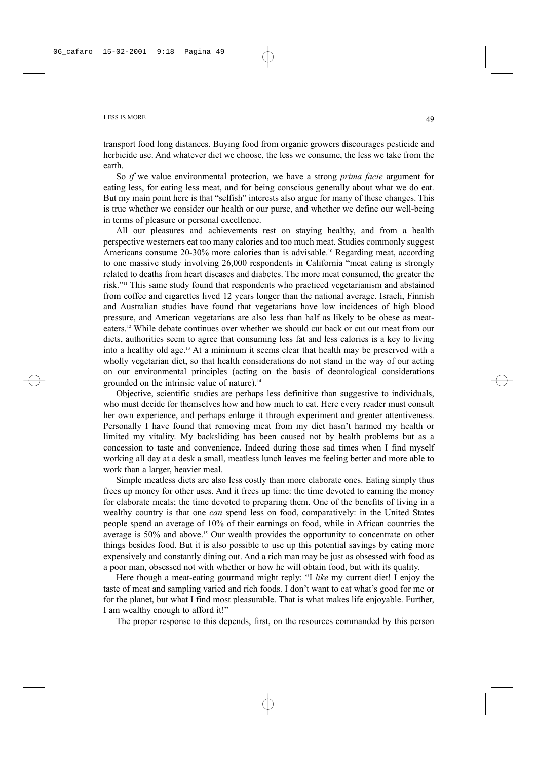transport food long distances. Buying food from organic growers discourages pesticide and herbicide use. And whatever diet we choose, the less we consume, the less we take from the earth.

So *if* we value environmental protection, we have a strong *prima facie* argument for eating less, for eating less meat, and for being conscious generally about what we do eat. But my main point here is that "selfish" interests also argue for many of these changes. This is true whether we consider our health or our purse, and whether we define our well-being in terms of pleasure or personal excellence.

All our pleasures and achievements rest on staying healthy, and from a health perspective westerners eat too many calories and too much meat. Studies commonly suggest Americans consume 20-30% more calories than is advisable.<sup>10</sup> Regarding meat, according to one massive study involving 26,000 respondents in California "meat eating is strongly related to deaths from heart diseases and diabetes. The more meat consumed, the greater the risk."11 This same study found that respondents who practiced vegetarianism and abstained from coffee and cigarettes lived 12 years longer than the national average. Israeli, Finnish and Australian studies have found that vegetarians have low incidences of high blood pressure, and American vegetarians are also less than half as likely to be obese as meateaters.12 While debate continues over whether we should cut back or cut out meat from our diets, authorities seem to agree that consuming less fat and less calories is a key to living into a healthy old age.13 At a minimum it seems clear that health may be preserved with a wholly vegetarian diet, so that health considerations do not stand in the way of our acting on our environmental principles (acting on the basis of deontological considerations grounded on the intrinsic value of nature).<sup>14</sup>

Objective, scientific studies are perhaps less definitive than suggestive to individuals, who must decide for themselves how and how much to eat. Here every reader must consult her own experience, and perhaps enlarge it through experiment and greater attentiveness. Personally I have found that removing meat from my diet hasn't harmed my health or limited my vitality. My backsliding has been caused not by health problems but as a concession to taste and convenience. Indeed during those sad times when I find myself working all day at a desk a small, meatless lunch leaves me feeling better and more able to work than a larger, heavier meal.

Simple meatless diets are also less costly than more elaborate ones. Eating simply thus frees up money for other uses. And it frees up time: the time devoted to earning the money for elaborate meals; the time devoted to preparing them. One of the benefits of living in a wealthy country is that one *can* spend less on food, comparatively: in the United States people spend an average of 10% of their earnings on food, while in African countries the average is 50% and above.<sup>15</sup> Our wealth provides the opportunity to concentrate on other things besides food. But it is also possible to use up this potential savings by eating more expensively and constantly dining out. And a rich man may be just as obsessed with food as a poor man, obsessed not with whether or how he will obtain food, but with its quality.

Here though a meat-eating gourmand might reply: "I *like* my current diet! I enjoy the taste of meat and sampling varied and rich foods. I don't want to eat what's good for me or for the planet, but what I find most pleasurable. That is what makes life enjoyable. Further, I am wealthy enough to afford it!"

The proper response to this depends, first, on the resources commanded by this person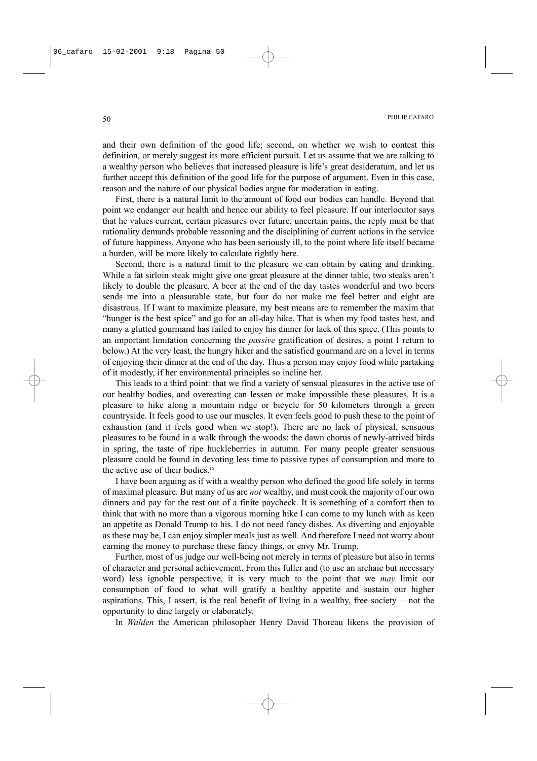and their own definition of the good life; second, on whether we wish to contest this definition, or merely suggest its more efficient pursuit. Let us assume that we are talking to a wealthy person who believes that increased pleasure is life's great desideratum, and let us further accept this definition of the good life for the purpose of argument. Even in this case, reason and the nature of our physical bodies argue for moderation in eating.

First, there is a natural limit to the amount of food our bodies can handle. Beyond that point we endanger our health and hence our ability to feel pleasure. If our interlocutor says that he values current, certain pleasures over future, uncertain pains, the reply must be that rationality demands probable reasoning and the disciplining of current actions in the service of future happiness. Anyone who has been seriously ill, to the point where life itself became a burden, will be more likely to calculate rightly here.

Second, there is a natural limit to the pleasure we can obtain by eating and drinking. While a fat sirloin steak might give one great pleasure at the dinner table, two steaks aren't likely to double the pleasure. A beer at the end of the day tastes wonderful and two beers sends me into a pleasurable state, but four do not make me feel better and eight are disastrous. If I want to maximize pleasure, my best means are to remember the maxim that "hunger is the best spice" and go for an all-day hike. That is when my food tastes best, and many a glutted gourmand has failed to enjoy his dinner for lack of this spice. (This points to an important limitation concerning the *passive* gratification of desires, a point I return to below.) At the very least, the hungry hiker and the satisfied gourmand are on a level in terms of enjoying their dinner at the end of the day. Thus a person may enjoy food while partaking of it modestly, if her environmental principles so incline her.

This leads to a third point: that we find a variety of sensual pleasures in the active use of our healthy bodies, and overeating can lessen or make impossible these pleasures. It is a pleasure to hike along a mountain ridge or bicycle for 50 kilometers through a green countryside. It feels good to use our muscles. It even feels good to push these to the point of exhaustion (and it feels good when we stop!). There are no lack of physical, sensuous pleasures to be found in a walk through the woods: the dawn chorus of newly-arrived birds in spring, the taste of ripe huckleberries in autumn. For many people greater sensuous pleasure could be found in devoting less time to passive types of consumption and more to the active use of their bodies.<sup>16</sup>

I have been arguing as if with a wealthy person who defined the good life solely in terms of maximal pleasure. But many of us are *not* wealthy, and must cook the majority of our own dinners and pay for the rest out of a finite paycheck. It is something of a comfort then to think that with no more than a vigorous morning hike I can come to my lunch with as keen an appetite as Donald Trump to his. I do not need fancy dishes. As diverting and enjoyable as these may be, I can enjoy simpler meals just as well. And therefore I need not worry about earning the money to purchase these fancy things, or envy Mr. Trump.

Further, most of us judge our well-being not merely in terms of pleasure but also in terms of character and personal achievement. From this fuller and (to use an archaic but necessary word) less ignoble perspective, it is very much to the point that we *may* limit our consumption of food to what will gratify a healthy appetite and sustain our higher aspirations. This, I assert, is the real benefit of living in a wealthy, free society —not the opportunity to dine largely or elaborately.

In *Walden* the American philosopher Henry David Thoreau likens the provision of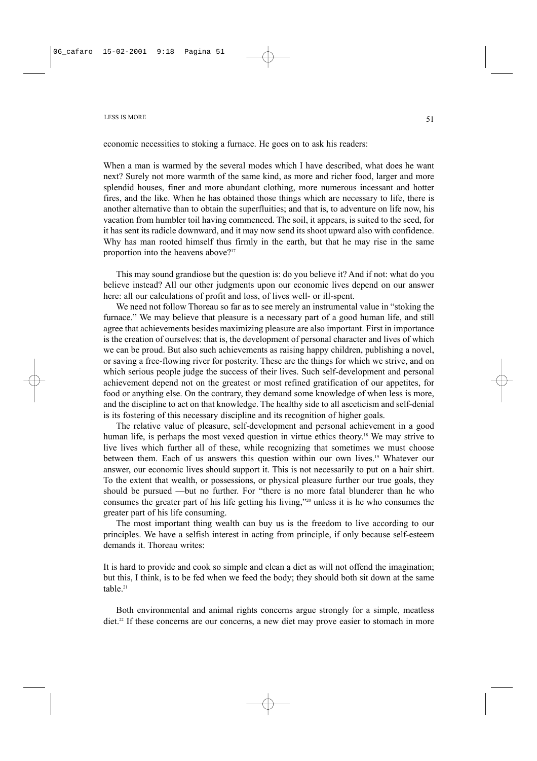economic necessities to stoking a furnace. He goes on to ask his readers:

When a man is warmed by the several modes which I have described, what does he want next? Surely not more warmth of the same kind, as more and richer food, larger and more splendid houses, finer and more abundant clothing, more numerous incessant and hotter fires, and the like. When he has obtained those things which are necessary to life, there is another alternative than to obtain the superfluities; and that is, to adventure on life now, his vacation from humbler toil having commenced. The soil, it appears, is suited to the seed, for it has sent its radicle downward, and it may now send its shoot upward also with confidence. Why has man rooted himself thus firmly in the earth, but that he may rise in the same proportion into the heavens above?<sup>17</sup>

This may sound grandiose but the question is: do you believe it? And if not: what do you believe instead? All our other judgments upon our economic lives depend on our answer here: all our calculations of profit and loss, of lives well- or ill-spent.

We need not follow Thoreau so far as to see merely an instrumental value in "stoking the furnace." We may believe that pleasure is a necessary part of a good human life, and still agree that achievements besides maximizing pleasure are also important. First in importance is the creation of ourselves: that is, the development of personal character and lives of which we can be proud. But also such achievements as raising happy children, publishing a novel, or saving a free-flowing river for posterity. These are the things for which we strive, and on which serious people judge the success of their lives. Such self-development and personal achievement depend not on the greatest or most refined gratification of our appetites, for food or anything else. On the contrary, they demand some knowledge of when less is more, and the discipline to act on that knowledge. The healthy side to all asceticism and self-denial is its fostering of this necessary discipline and its recognition of higher goals.

The relative value of pleasure, self-development and personal achievement in a good human life, is perhaps the most vexed question in virtue ethics theory.18 We may strive to live lives which further all of these, while recognizing that sometimes we must choose between them. Each of us answers this question within our own lives.<sup>19</sup> Whatever our answer, our economic lives should support it. This is not necessarily to put on a hair shirt. To the extent that wealth, or possessions, or physical pleasure further our true goals, they should be pursued —but no further. For "there is no more fatal blunderer than he who consumes the greater part of his life getting his living,"20 unless it is he who consumes the greater part of his life consuming.

The most important thing wealth can buy us is the freedom to live according to our principles. We have a selfish interest in acting from principle, if only because self-esteem demands it. Thoreau writes:

It is hard to provide and cook so simple and clean a diet as will not offend the imagination; but this, I think, is to be fed when we feed the body; they should both sit down at the same table.<sup>21</sup>

Both environmental and animal rights concerns argue strongly for a simple, meatless diet.<sup>22</sup> If these concerns are our concerns, a new diet may prove easier to stomach in more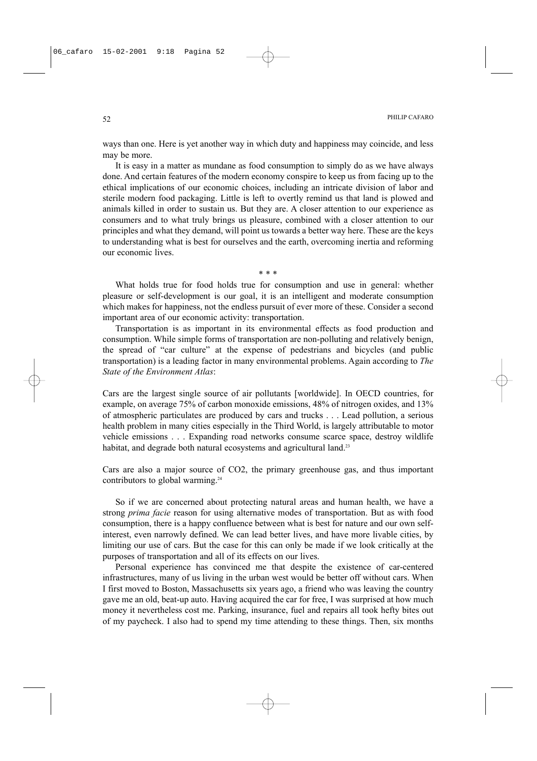ways than one. Here is yet another way in which duty and happiness may coincide, and less may be more.

It is easy in a matter as mundane as food consumption to simply do as we have always done. And certain features of the modern economy conspire to keep us from facing up to the ethical implications of our economic choices, including an intricate division of labor and sterile modern food packaging. Little is left to overtly remind us that land is plowed and animals killed in order to sustain us. But they are. A closer attention to our experience as consumers and to what truly brings us pleasure, combined with a closer attention to our principles and what they demand, will point us towards a better way here. These are the keys to understanding what is best for ourselves and the earth, overcoming inertia and reforming our economic lives.

What holds true for food holds true for consumption and use in general: whether pleasure or self-development is our goal, it is an intelligent and moderate consumption which makes for happiness, not the endless pursuit of ever more of these. Consider a second important area of our economic activity: transportation.

\* \* \*

Transportation is as important in its environmental effects as food production and consumption. While simple forms of transportation are non-polluting and relatively benign, the spread of "car culture" at the expense of pedestrians and bicycles (and public transportation) is a leading factor in many environmental problems. Again according to *The State of the Environment Atlas*:

Cars are the largest single source of air pollutants [worldwide]. In OECD countries, for example, on average 75% of carbon monoxide emissions, 48% of nitrogen oxides, and 13% of atmospheric particulates are produced by cars and trucks . . . Lead pollution, a serious health problem in many cities especially in the Third World, is largely attributable to motor vehicle emissions . . . Expanding road networks consume scarce space, destroy wildlife habitat, and degrade both natural ecosystems and agricultural land.<sup>23</sup>

Cars are also a major source of CO2, the primary greenhouse gas, and thus important contributors to global warming.<sup>24</sup>

So if we are concerned about protecting natural areas and human health, we have a strong *prima facie* reason for using alternative modes of transportation. But as with food consumption, there is a happy confluence between what is best for nature and our own selfinterest, even narrowly defined. We can lead better lives, and have more livable cities, by limiting our use of cars. But the case for this can only be made if we look critically at the purposes of transportation and all of its effects on our lives.

Personal experience has convinced me that despite the existence of car-centered infrastructures, many of us living in the urban west would be better off without cars. When I first moved to Boston, Massachusetts six years ago, a friend who was leaving the country gave me an old, beat-up auto. Having acquired the car for free, I was surprised at how much money it nevertheless cost me. Parking, insurance, fuel and repairs all took hefty bites out of my paycheck. I also had to spend my time attending to these things. Then, six months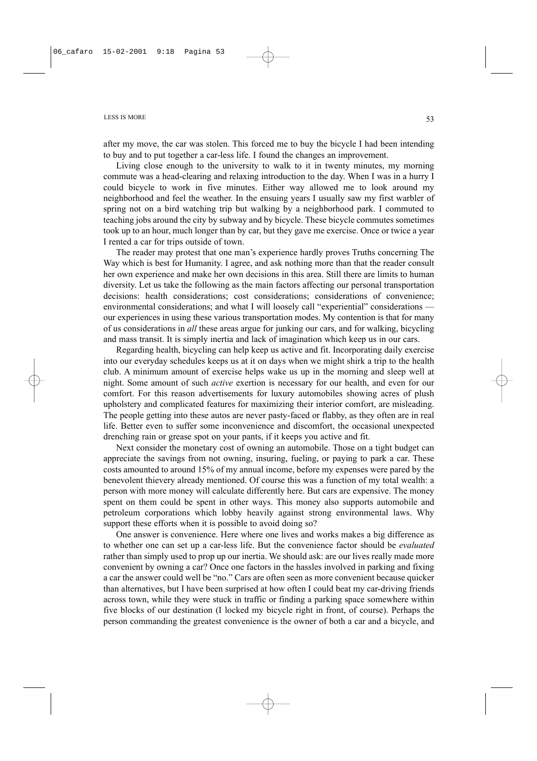after my move, the car was stolen. This forced me to buy the bicycle I had been intending to buy and to put together a car-less life. I found the changes an improvement.

Living close enough to the university to walk to it in twenty minutes, my morning commute was a head-clearing and relaxing introduction to the day. When I was in a hurry I could bicycle to work in five minutes. Either way allowed me to look around my neighborhood and feel the weather. In the ensuing years I usually saw my first warbler of spring not on a bird watching trip but walking by a neighborhood park. I commuted to teaching jobs around the city by subway and by bicycle. These bicycle commutes sometimes took up to an hour, much longer than by car, but they gave me exercise. Once or twice a year I rented a car for trips outside of town.

The reader may protest that one man's experience hardly proves Truths concerning The Way which is best for Humanity. I agree, and ask nothing more than that the reader consult her own experience and make her own decisions in this area. Still there are limits to human diversity. Let us take the following as the main factors affecting our personal transportation decisions: health considerations; cost considerations; considerations of convenience; environmental considerations; and what I will loosely call "experiential" considerations our experiences in using these various transportation modes. My contention is that for many of us considerations in *all* these areas argue for junking our cars, and for walking, bicycling and mass transit. It is simply inertia and lack of imagination which keep us in our cars.

Regarding health, bicycling can help keep us active and fit. Incorporating daily exercise into our everyday schedules keeps us at it on days when we might shirk a trip to the health club. A minimum amount of exercise helps wake us up in the morning and sleep well at night. Some amount of such *active* exertion is necessary for our health, and even for our comfort. For this reason advertisements for luxury automobiles showing acres of plush upholstery and complicated features for maximizing their interior comfort, are misleading. The people getting into these autos are never pasty-faced or flabby, as they often are in real life. Better even to suffer some inconvenience and discomfort, the occasional unexpected drenching rain or grease spot on your pants, if it keeps you active and fit.

Next consider the monetary cost of owning an automobile. Those on a tight budget can appreciate the savings from not owning, insuring, fueling, or paying to park a car. These costs amounted to around 15% of my annual income, before my expenses were pared by the benevolent thievery already mentioned. Of course this was a function of my total wealth: a person with more money will calculate differently here. But cars are expensive. The money spent on them could be spent in other ways. This money also supports automobile and petroleum corporations which lobby heavily against strong environmental laws. Why support these efforts when it is possible to avoid doing so?

One answer is convenience. Here where one lives and works makes a big difference as to whether one can set up a car-less life. But the convenience factor should be *evaluated* rather than simply used to prop up our inertia. We should ask: are our lives really made more convenient by owning a car? Once one factors in the hassles involved in parking and fixing a car the answer could well be "no." Cars are often seen as more convenient because quicker than alternatives, but I have been surprised at how often I could beat my car-driving friends across town, while they were stuck in traffic or finding a parking space somewhere within five blocks of our destination (I locked my bicycle right in front, of course). Perhaps the person commanding the greatest convenience is the owner of both a car and a bicycle, and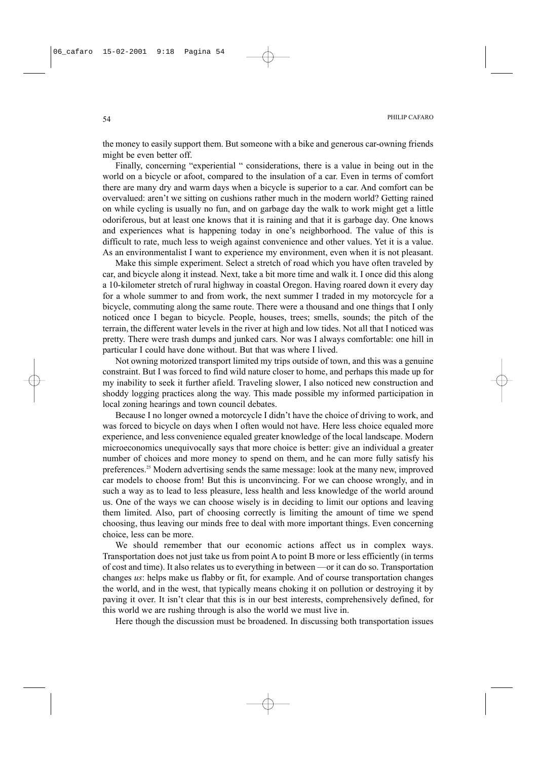the money to easily support them. But someone with a bike and generous car-owning friends might be even better off.

Finally, concerning "experiential " considerations, there is a value in being out in the world on a bicycle or afoot, compared to the insulation of a car. Even in terms of comfort there are many dry and warm days when a bicycle is superior to a car. And comfort can be overvalued: aren't we sitting on cushions rather much in the modern world? Getting rained on while cycling is usually no fun, and on garbage day the walk to work might get a little odoriferous, but at least one knows that it is raining and that it is garbage day. One knows and experiences what is happening today in one's neighborhood. The value of this is difficult to rate, much less to weigh against convenience and other values. Yet it is a value. As an environmentalist I want to experience my environment, even when it is not pleasant.

Make this simple experiment. Select a stretch of road which you have often traveled by car, and bicycle along it instead. Next, take a bit more time and walk it. I once did this along a 10-kilometer stretch of rural highway in coastal Oregon. Having roared down it every day for a whole summer to and from work, the next summer I traded in my motorcycle for a bicycle, commuting along the same route. There were a thousand and one things that I only noticed once I began to bicycle. People, houses, trees; smells, sounds; the pitch of the terrain, the different water levels in the river at high and low tides. Not all that I noticed was pretty. There were trash dumps and junked cars. Nor was I always comfortable: one hill in particular I could have done without. But that was where I lived.

Not owning motorized transport limited my trips outside of town, and this was a genuine constraint. But I was forced to find wild nature closer to home, and perhaps this made up for my inability to seek it further afield. Traveling slower, I also noticed new construction and shoddy logging practices along the way. This made possible my informed participation in local zoning hearings and town council debates.

Because I no longer owned a motorcycle I didn't have the choice of driving to work, and was forced to bicycle on days when I often would not have. Here less choice equaled more experience, and less convenience equaled greater knowledge of the local landscape. Modern microeconomics unequivocally says that more choice is better: give an individual a greater number of choices and more money to spend on them, and he can more fully satisfy his preferences.<sup>25</sup> Modern advertising sends the same message: look at the many new, improved car models to choose from! But this is unconvincing. For we can choose wrongly, and in such a way as to lead to less pleasure, less health and less knowledge of the world around us. One of the ways we can choose wisely is in deciding to limit our options and leaving them limited. Also, part of choosing correctly is limiting the amount of time we spend choosing, thus leaving our minds free to deal with more important things. Even concerning choice, less can be more.

We should remember that our economic actions affect us in complex ways. Transportation does not just take us from point A to point B more or less efficiently (in terms of cost and time). It also relates us to everything in between —or it can do so. Transportation changes *us*: helps make us flabby or fit, for example. And of course transportation changes the world, and in the west, that typically means choking it on pollution or destroying it by paving it over. It isn't clear that this is in our best interests, comprehensively defined, for this world we are rushing through is also the world we must live in.

Here though the discussion must be broadened. In discussing both transportation issues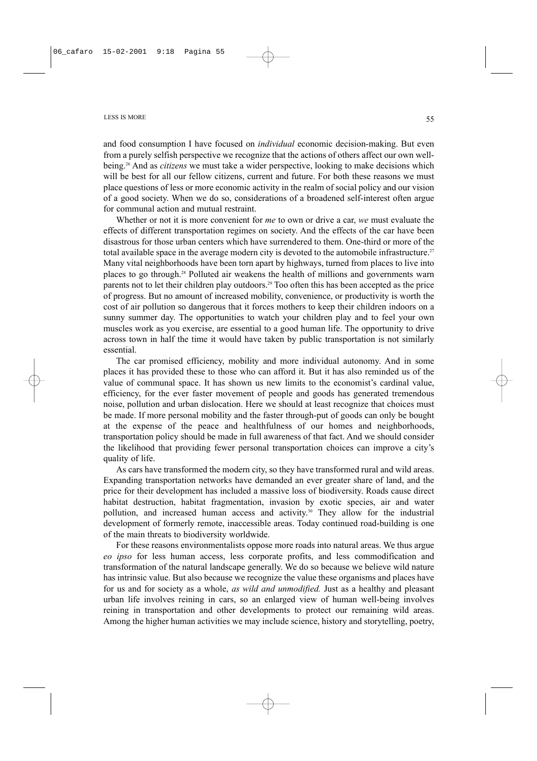and food consumption I have focused on *individual* economic decision-making. But even from a purely selfish perspective we recognize that the actions of others affect our own wellbeing.26 And as *citizens* we must take a wider perspective, looking to make decisions which will be best for all our fellow citizens, current and future. For both these reasons we must place questions of less or more economic activity in the realm of social policy and our vision of a good society. When we do so, considerations of a broadened self-interest often argue for communal action and mutual restraint.

Whether or not it is more convenient for *me* to own or drive a car, *we* must evaluate the effects of different transportation regimes on society. And the effects of the car have been disastrous for those urban centers which have surrendered to them. One-third or more of the total available space in the average modern city is devoted to the automobile infrastructure.<sup>27</sup> Many vital neighborhoods have been torn apart by highways, turned from places to live into places to go through.28 Polluted air weakens the health of millions and governments warn parents not to let their children play outdoors.<sup>29</sup> Too often this has been accepted as the price of progress. But no amount of increased mobility, convenience, or productivity is worth the cost of air pollution so dangerous that it forces mothers to keep their children indoors on a sunny summer day. The opportunities to watch your children play and to feel your own muscles work as you exercise, are essential to a good human life. The opportunity to drive across town in half the time it would have taken by public transportation is not similarly essential.

The car promised efficiency, mobility and more individual autonomy. And in some places it has provided these to those who can afford it. But it has also reminded us of the value of communal space. It has shown us new limits to the economist's cardinal value, efficiency, for the ever faster movement of people and goods has generated tremendous noise, pollution and urban dislocation. Here we should at least recognize that choices must be made. If more personal mobility and the faster through-put of goods can only be bought at the expense of the peace and healthfulness of our homes and neighborhoods, transportation policy should be made in full awareness of that fact. And we should consider the likelihood that providing fewer personal transportation choices can improve a city's quality of life.

As cars have transformed the modern city, so they have transformed rural and wild areas. Expanding transportation networks have demanded an ever greater share of land, and the price for their development has included a massive loss of biodiversity. Roads cause direct habitat destruction, habitat fragmentation, invasion by exotic species, air and water pollution, and increased human access and activity.<sup>30</sup> They allow for the industrial development of formerly remote, inaccessible areas. Today continued road-building is one of the main threats to biodiversity worldwide.

For these reasons environmentalists oppose more roads into natural areas. We thus argue *eo ipso* for less human access, less corporate profits, and less commodification and transformation of the natural landscape generally. We do so because we believe wild nature has intrinsic value. But also because we recognize the value these organisms and places have for us and for society as a whole, *as wild and unmodified.* Just as a healthy and pleasant urban life involves reining in cars, so an enlarged view of human well-being involves reining in transportation and other developments to protect our remaining wild areas. Among the higher human activities we may include science, history and storytelling, poetry,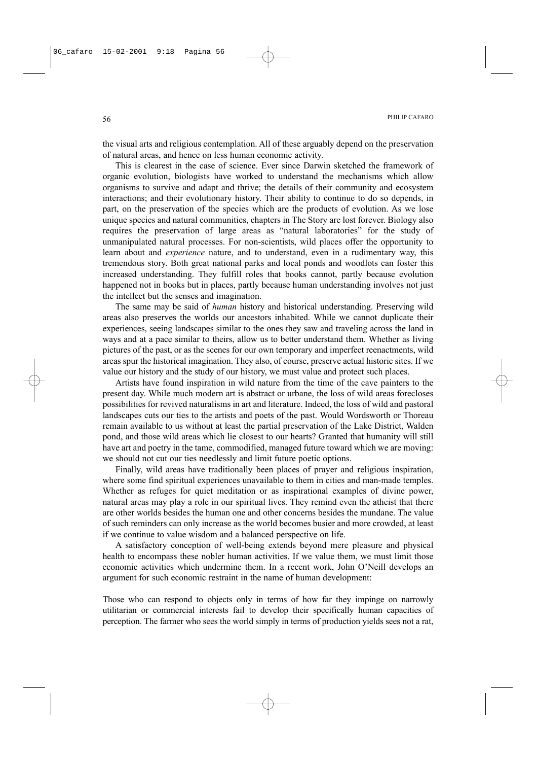the visual arts and religious contemplation. All of these arguably depend on the preservation of natural areas, and hence on less human economic activity.

This is clearest in the case of science. Ever since Darwin sketched the framework of organic evolution, biologists have worked to understand the mechanisms which allow organisms to survive and adapt and thrive; the details of their community and ecosystem interactions; and their evolutionary history. Their ability to continue to do so depends, in part, on the preservation of the species which are the products of evolution. As we lose unique species and natural communities, chapters in The Story are lost forever. Biology also requires the preservation of large areas as "natural laboratories" for the study of unmanipulated natural processes. For non-scientists, wild places offer the opportunity to learn about and *experience* nature, and to understand, even in a rudimentary way, this tremendous story. Both great national parks and local ponds and woodlots can foster this increased understanding. They fulfill roles that books cannot, partly because evolution happened not in books but in places, partly because human understanding involves not just the intellect but the senses and imagination.

The same may be said of *human* history and historical understanding. Preserving wild areas also preserves the worlds our ancestors inhabited. While we cannot duplicate their experiences, seeing landscapes similar to the ones they saw and traveling across the land in ways and at a pace similar to theirs, allow us to better understand them. Whether as living pictures of the past, or as the scenes for our own temporary and imperfect reenactments, wild areas spur the historical imagination. They also, of course, preserve actual historic sites. If we value our history and the study of our history, we must value and protect such places.

Artists have found inspiration in wild nature from the time of the cave painters to the present day. While much modern art is abstract or urbane, the loss of wild areas forecloses possibilities for revived naturalisms in art and literature. Indeed, the loss of wild and pastoral landscapes cuts our ties to the artists and poets of the past. Would Wordsworth or Thoreau remain available to us without at least the partial preservation of the Lake District, Walden pond, and those wild areas which lie closest to our hearts? Granted that humanity will still have art and poetry in the tame, commodified, managed future toward which we are moving: we should not cut our ties needlessly and limit future poetic options.

Finally, wild areas have traditionally been places of prayer and religious inspiration, where some find spiritual experiences unavailable to them in cities and man-made temples. Whether as refuges for quiet meditation or as inspirational examples of divine power, natural areas may play a role in our spiritual lives. They remind even the atheist that there are other worlds besides the human one and other concerns besides the mundane. The value of such reminders can only increase as the world becomes busier and more crowded, at least if we continue to value wisdom and a balanced perspective on life.

A satisfactory conception of well-being extends beyond mere pleasure and physical health to encompass these nobler human activities. If we value them, we must limit those economic activities which undermine them. In a recent work, John O'Neill develops an argument for such economic restraint in the name of human development:

Those who can respond to objects only in terms of how far they impinge on narrowly utilitarian or commercial interests fail to develop their specifically human capacities of perception. The farmer who sees the world simply in terms of production yields sees not a rat,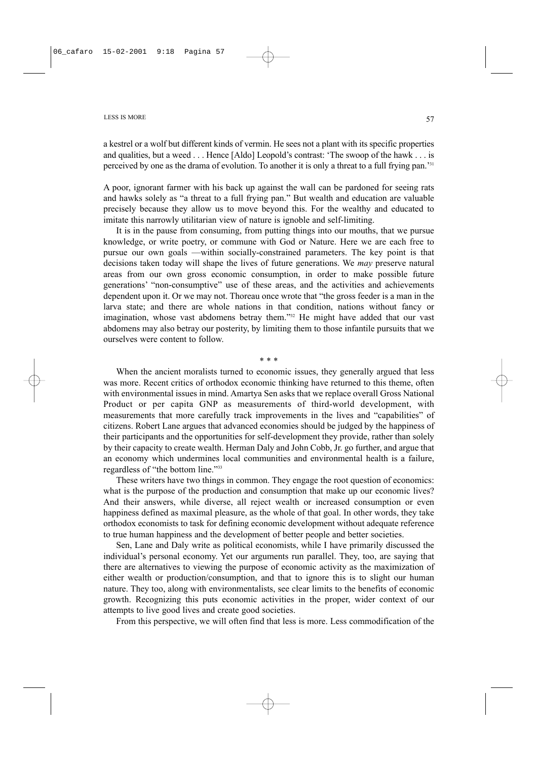a kestrel or a wolf but different kinds of vermin. He sees not a plant with its specific properties and qualities, but a weed . . . Hence [Aldo] Leopold's contrast: 'The swoop of the hawk . . . is perceived by one as the drama of evolution. To another it is only a threat to a full frying pan.'31

A poor, ignorant farmer with his back up against the wall can be pardoned for seeing rats and hawks solely as "a threat to a full frying pan." But wealth and education are valuable precisely because they allow us to move beyond this. For the wealthy and educated to imitate this narrowly utilitarian view of nature is ignoble and self-limiting.

It is in the pause from consuming, from putting things into our mouths, that we pursue knowledge, or write poetry, or commune with God or Nature. Here we are each free to pursue our own goals —within socially-constrained parameters. The key point is that decisions taken today will shape the lives of future generations. We *may* preserve natural areas from our own gross economic consumption, in order to make possible future generations' "non-consumptive" use of these areas, and the activities and achievements dependent upon it. Or we may not. Thoreau once wrote that "the gross feeder is a man in the larva state; and there are whole nations in that condition, nations without fancy or imagination, whose vast abdomens betray them."32 He might have added that our vast abdomens may also betray our posterity, by limiting them to those infantile pursuits that we ourselves were content to follow.

\* \* \*

When the ancient moralists turned to economic issues, they generally argued that less was more. Recent critics of orthodox economic thinking have returned to this theme, often with environmental issues in mind. Amartya Sen asks that we replace overall Gross National Product or per capita GNP as measurements of third-world development, with measurements that more carefully track improvements in the lives and "capabilities" of citizens. Robert Lane argues that advanced economies should be judged by the happiness of their participants and the opportunities for self-development they provide, rather than solely by their capacity to create wealth. Herman Daly and John Cobb, Jr. go further, and argue that an economy which undermines local communities and environmental health is a failure, regardless of "the bottom line."33

These writers have two things in common. They engage the root question of economics: what is the purpose of the production and consumption that make up our economic lives? And their answers, while diverse, all reject wealth or increased consumption or even happiness defined as maximal pleasure, as the whole of that goal. In other words, they take orthodox economists to task for defining economic development without adequate reference to true human happiness and the development of better people and better societies.

Sen, Lane and Daly write as political economists, while I have primarily discussed the individual's personal economy. Yet our arguments run parallel. They, too, are saying that there are alternatives to viewing the purpose of economic activity as the maximization of either wealth or production/consumption, and that to ignore this is to slight our human nature. They too, along with environmentalists, see clear limits to the benefits of economic growth. Recognizing this puts economic activities in the proper, wider context of our attempts to live good lives and create good societies.

From this perspective, we will often find that less is more. Less commodification of the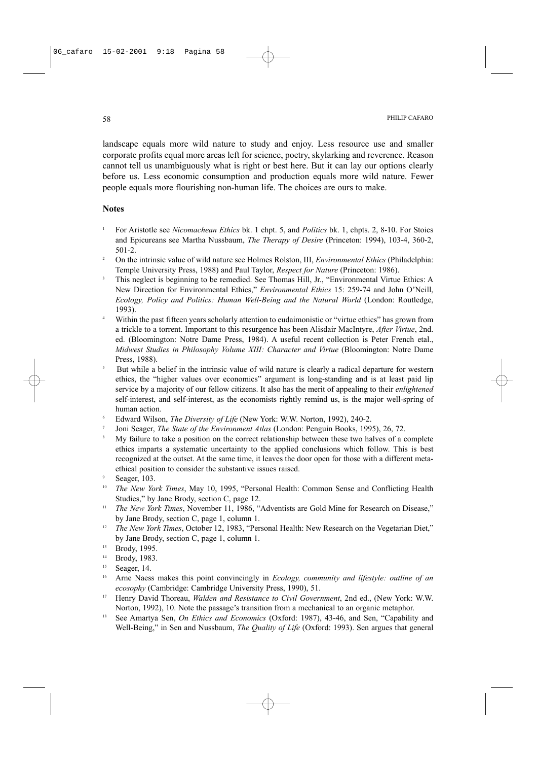landscape equals more wild nature to study and enjoy. Less resource use and smaller corporate profits equal more areas left for science, poetry, skylarking and reverence. Reason cannot tell us unambiguously what is right or best here. But it can lay our options clearly before us. Less economic consumption and production equals more wild nature. Fewer people equals more flourishing non-human life. The choices are ours to make.

## **Notes**

- <sup>1</sup> For Aristotle see *Nicomachean Ethics* bk. 1 chpt. 5, and *Politics* bk. 1, chpts. 2, 8-10. For Stoics and Epicureans see Martha Nussbaum, *The Therapy of Desire* (Princeton: 1994), 103-4, 360-2, 501-2.
- <sup>2</sup> On the intrinsic value of wild nature see Holmes Rolston, III, *Environmental Ethics* (Philadelphia: Temple University Press, 1988) and Paul Taylor, *Respect for Nature* (Princeton: 1986).
- <sup>3</sup> This neglect is beginning to be remedied. See Thomas Hill, Jr., "Environmental Virtue Ethics: A New Direction for Environmental Ethics," *Environmental Ethics* 15: 259-74 and John O'Neill, *Ecology, Policy and Politics: Human Well-Being and the Natural World* (London: Routledge, 1993).
- <sup>4</sup> Within the past fifteen years scholarly attention to eudaimonistic or "virtue ethics" has grown from a trickle to a torrent. Important to this resurgence has been Alisdair MacIntyre, *After Virtue*, 2nd. ed. (Bloomington: Notre Dame Press, 1984). A useful recent collection is Peter French etal., *Midwest Studies in Philosophy Volume XIII: Character and Virtue* (Bloomington: Notre Dame Press, 1988).
- <sup>5</sup> But while a belief in the intrinsic value of wild nature is clearly a radical departure for western ethics, the "higher values over economics" argument is long-standing and is at least paid lip service by a majority of our fellow citizens. It also has the merit of appealing to their *enlightened* self-interest, and self-interest, as the economists rightly remind us, is the major well-spring of human action.
- <sup>6</sup> Edward Wilson, *The Diversity of Life* (New York: W.W. Norton, 1992), 240-2.
- <sup>7</sup> Joni Seager, *The State of the Environment Atlas* (London: Penguin Books, 1995), 26, 72.
- <sup>8</sup> My failure to take a position on the correct relationship between these two halves of a complete ethics imparts a systematic uncertainty to the applied conclusions which follow. This is best recognized at the outset. At the same time, it leaves the door open for those with a different metaethical position to consider the substantive issues raised.
- <sup>9</sup> Seager, 103.
- <sup>10</sup> *The New York Times*, May 10, 1995, "Personal Health: Common Sense and Conflicting Health Studies," by Jane Brody, section C, page 12.
- <sup>11</sup> *The New York Times*, November 11, 1986, "Adventists are Gold Mine for Research on Disease," by Jane Brody, section C, page 1, column 1.
- <sup>12</sup> *The New York Times*, October 12, 1983, "Personal Health: New Research on the Vegetarian Diet." by Jane Brody, section C, page 1, column 1.
- <sup>13</sup> Brody, 1995.
- <sup>14</sup> Brody, 1983.
- <sup>15</sup> Seager, 14.
- <sup>16</sup> Arne Naess makes this point convincingly in *Ecology, community and lifestyle: outline of an ecosophy* (Cambridge: Cambridge University Press, 1990), 51.
- <sup>17</sup> Henry David Thoreau, *Walden and Resistance to Civil Government*, 2nd ed., (New York: W.W. Norton, 1992), 10. Note the passage's transition from a mechanical to an organic metaphor.
- <sup>18</sup> See Amartya Sen, *On Ethics and Economics* (Oxford: 1987), 43-46, and Sen, "Capability and Well-Being," in Sen and Nussbaum, *The Quality of Life* (Oxford: 1993). Sen argues that general